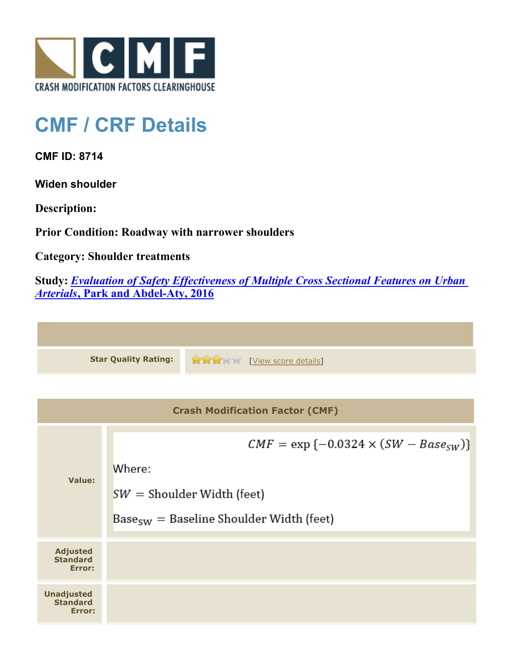

## **CMF / CRF Details**

**CMF ID: 8714**

**Widen shoulder**

**Description:** 

**Prior Condition: Roadway with narrower shoulders**

**Category: Shoulder treatments**

**Study:** *[Evaluation of Safety Effectiveness of Multiple Cross Sectional Features on Urban](http://www.cmfclearinghouse.org/study_detail.cfm?stid=476) [Arterials](http://www.cmfclearinghouse.org/study_detail.cfm?stid=476)***[, Park and Abdel-Aty, 2016](http://www.cmfclearinghouse.org/study_detail.cfm?stid=476)**



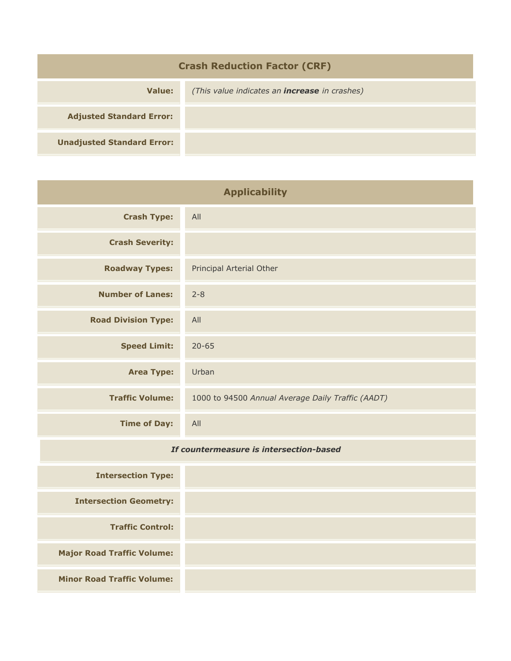| <b>Crash Reduction Factor (CRF)</b> |                                                      |  |
|-------------------------------------|------------------------------------------------------|--|
| Value:                              | (This value indicates an <b>increase</b> in crashes) |  |
| <b>Adjusted Standard Error:</b>     |                                                      |  |
| <b>Unadjusted Standard Error:</b>   |                                                      |  |

| <b>Applicability</b>       |                                                   |
|----------------------------|---------------------------------------------------|
| <b>Crash Type:</b>         | All                                               |
| <b>Crash Severity:</b>     |                                                   |
| <b>Roadway Types:</b>      | Principal Arterial Other                          |
| <b>Number of Lanes:</b>    | $2 - 8$                                           |
| <b>Road Division Type:</b> | All                                               |
| <b>Speed Limit:</b>        | $20 - 65$                                         |
| <b>Area Type:</b>          | Urban                                             |
| <b>Traffic Volume:</b>     | 1000 to 94500 Annual Average Daily Traffic (AADT) |
| <b>Time of Day:</b>        | All                                               |

## *If countermeasure is intersection-based*

| <b>Intersection Type:</b>         |  |
|-----------------------------------|--|
| <b>Intersection Geometry:</b>     |  |
| <b>Traffic Control:</b>           |  |
| <b>Major Road Traffic Volume:</b> |  |
| <b>Minor Road Traffic Volume:</b> |  |